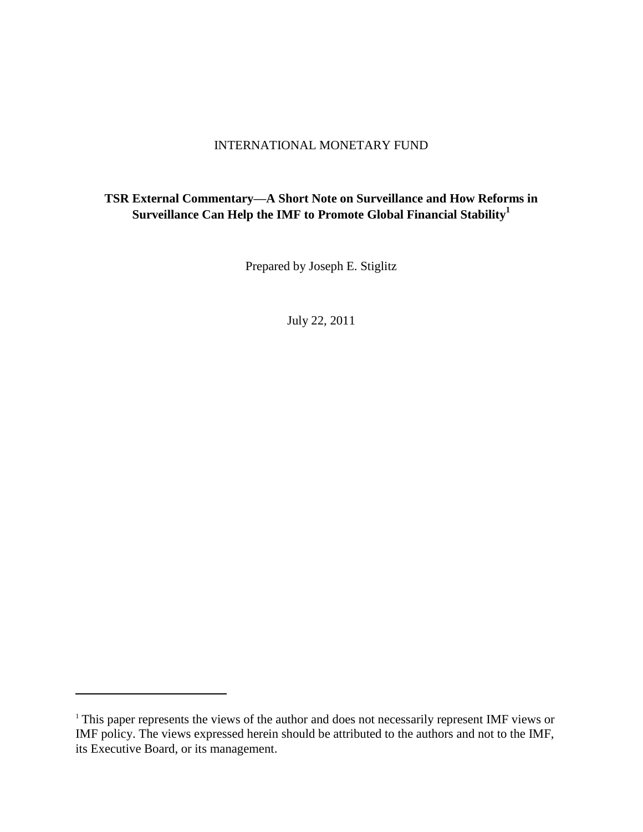## INTERNATIONAL MONETARY FUND

## **TSR External Commentary—A Short Note on Surveillance and How Reforms in Surveillance Can Help the IMF to Promote Global Financial Stability<sup>1</sup>**

Prepared by Joseph E. Stiglitz

July 22, 2011

 $\overline{\phantom{a}}$ 

<sup>&</sup>lt;sup>1</sup> This paper represents the views of the author and does not necessarily represent IMF views or IMF policy. The views expressed herein should be attributed to the authors and not to the IMF, its Executive Board, or its management.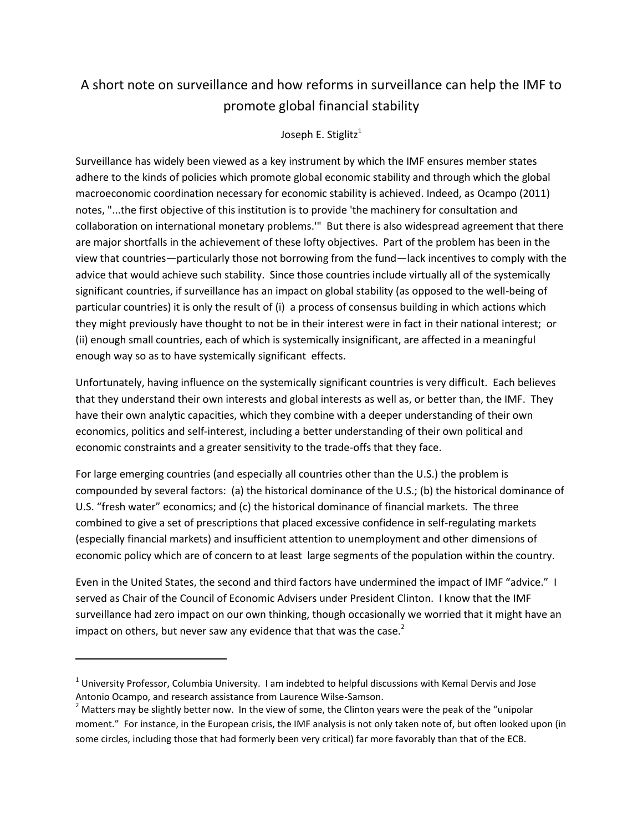# A short note on surveillance and how reforms in surveillance can help the IMF to promote global financial stability

### Joseph E. Stiglitz<sup>1</sup>

Surveillance has widely been viewed as a key instrument by which the IMF ensures member states adhere to the kinds of policies which promote global economic stability and through which the global macroeconomic coordination necessary for economic stability is achieved. Indeed, as Ocampo (2011) notes, "...the first objective of this institution is to provide 'the machinery for consultation and collaboration on international monetary problems.'" But there is also widespread agreement that there are major shortfalls in the achievement of these lofty objectives. Part of the problem has been in the view that countries—particularly those not borrowing from the fund—lack incentives to comply with the advice that would achieve such stability. Since those countries include virtually all of the systemically significant countries, if surveillance has an impact on global stability (as opposed to the well-being of particular countries) it is only the result of (i) a process of consensus building in which actions which they might previously have thought to not be in their interest were in fact in their national interest; or (ii) enough small countries, each of which is systemically insignificant, are affected in a meaningful enough way so as to have systemically significant effects.

Unfortunately, having influence on the systemically significant countries is very difficult. Each believes that they understand their own interests and global interests as well as, or better than, the IMF. They have their own analytic capacities, which they combine with a deeper understanding of their own economics, politics and self-interest, including a better understanding of their own political and economic constraints and a greater sensitivity to the trade-offs that they face.

For large emerging countries (and especially all countries other than the U.S.) the problem is compounded by several factors: (a) the historical dominance of the U.S.; (b) the historical dominance of U.S. "fresh water" economics; and (c) the historical dominance of financial markets. The three combined to give a set of prescriptions that placed excessive confidence in self-regulating markets (especially financial markets) and insufficient attention to unemployment and other dimensions of economic policy which are of concern to at least large segments of the population within the country.

Even in the United States, the second and third factors have undermined the impact of IMF "advice." I served as Chair of the Council of Economic Advisers under President Clinton. I know that the IMF surveillance had zero impact on our own thinking, though occasionally we worried that it might have an impact on others, but never saw any evidence that that was the case.<sup>2</sup>

 $^1$  University Professor, Columbia University. I am indebted to helpful discussions with Kemal Dervis and Jose Antonio Ocampo, and research assistance from Laurence Wilse-Samson.

 $2$  Matters may be slightly better now. In the view of some, the Clinton years were the peak of the "unipolar moment." For instance, in the European crisis, the IMF analysis is not only taken note of, but often looked upon (in some circles, including those that had formerly been very critical) far more favorably than that of the ECB.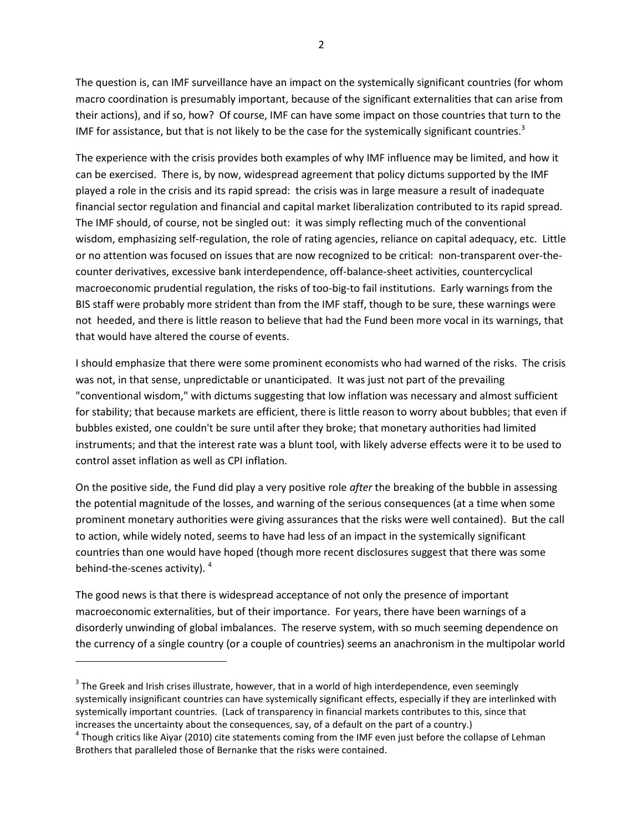The question is, can IMF surveillance have an impact on the systemically significant countries (for whom macro coordination is presumably important, because of the significant externalities that can arise from their actions), and if so, how? Of course, IMF can have some impact on those countries that turn to the IMF for assistance, but that is not likely to be the case for the systemically significant countries.<sup>3</sup>

The experience with the crisis provides both examples of why IMF influence may be limited, and how it can be exercised. There is, by now, widespread agreement that policy dictums supported by the IMF played a role in the crisis and its rapid spread: the crisis was in large measure a result of inadequate financial sector regulation and financial and capital market liberalization contributed to its rapid spread. The IMF should, of course, not be singled out: it was simply reflecting much of the conventional wisdom, emphasizing self-regulation, the role of rating agencies, reliance on capital adequacy, etc. Little or no attention was focused on issues that are now recognized to be critical: non-transparent over-thecounter derivatives, excessive bank interdependence, off-balance-sheet activities, countercyclical macroeconomic prudential regulation, the risks of too-big-to fail institutions. Early warnings from the BIS staff were probably more strident than from the IMF staff, though to be sure, these warnings were not heeded, and there is little reason to believe that had the Fund been more vocal in its warnings, that that would have altered the course of events.

I should emphasize that there were some prominent economists who had warned of the risks. The crisis was not, in that sense, unpredictable or unanticipated. It was just not part of the prevailing "conventional wisdom," with dictums suggesting that low inflation was necessary and almost sufficient for stability; that because markets are efficient, there is little reason to worry about bubbles; that even if bubbles existed, one couldn't be sure until after they broke; that monetary authorities had limited instruments; and that the interest rate was a blunt tool, with likely adverse effects were it to be used to control asset inflation as well as CPI inflation.

On the positive side, the Fund did play a very positive role *after* the breaking of the bubble in assessing the potential magnitude of the losses, and warning of the serious consequences (at a time when some prominent monetary authorities were giving assurances that the risks were well contained). But the call to action, while widely noted, seems to have had less of an impact in the systemically significant countries than one would have hoped (though more recent disclosures suggest that there was some behind-the-scenes activity). <sup>4</sup>

The good news is that there is widespread acceptance of not only the presence of important macroeconomic externalities, but of their importance. For years, there have been warnings of a disorderly unwinding of global imbalances. The reserve system, with so much seeming dependence on the currency of a single country (or a couple of countries) seems an anachronism in the multipolar world

 $3$  The Greek and Irish crises illustrate, however, that in a world of high interdependence, even seemingly systemically insignificant countries can have systemically significant effects, especially if they are interlinked with systemically important countries. (Lack of transparency in financial markets contributes to this, since that increases the uncertainty about the consequences, say, of a default on the part of a country.)

 $^4$  Though critics like Aiyar (2010) cite statements coming from the IMF even just before the collapse of Lehman Brothers that paralleled those of Bernanke that the risks were contained.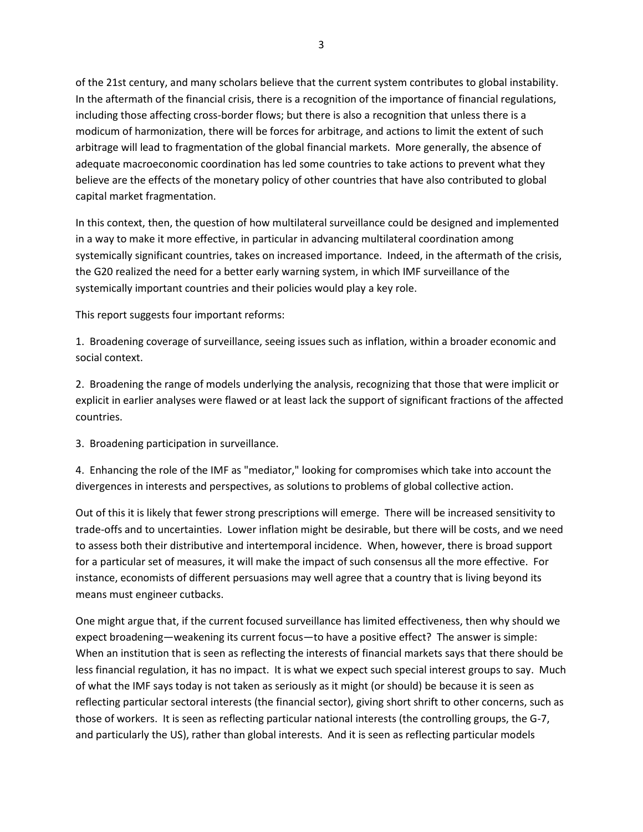of the 21st century, and many scholars believe that the current system contributes to global instability. In the aftermath of the financial crisis, there is a recognition of the importance of financial regulations, including those affecting cross-border flows; but there is also a recognition that unless there is a modicum of harmonization, there will be forces for arbitrage, and actions to limit the extent of such arbitrage will lead to fragmentation of the global financial markets. More generally, the absence of adequate macroeconomic coordination has led some countries to take actions to prevent what they believe are the effects of the monetary policy of other countries that have also contributed to global capital market fragmentation.

In this context, then, the question of how multilateral surveillance could be designed and implemented in a way to make it more effective, in particular in advancing multilateral coordination among systemically significant countries, takes on increased importance. Indeed, in the aftermath of the crisis, the G20 realized the need for a better early warning system, in which IMF surveillance of the systemically important countries and their policies would play a key role.

This report suggests four important reforms:

1. Broadening coverage of surveillance, seeing issues such as inflation, within a broader economic and social context.

2. Broadening the range of models underlying the analysis, recognizing that those that were implicit or explicit in earlier analyses were flawed or at least lack the support of significant fractions of the affected countries.

3. Broadening participation in surveillance.

4. Enhancing the role of the IMF as "mediator," looking for compromises which take into account the divergences in interests and perspectives, as solutions to problems of global collective action.

Out of this it is likely that fewer strong prescriptions will emerge. There will be increased sensitivity to trade-offs and to uncertainties. Lower inflation might be desirable, but there will be costs, and we need to assess both their distributive and intertemporal incidence. When, however, there is broad support for a particular set of measures, it will make the impact of such consensus all the more effective. For instance, economists of different persuasions may well agree that a country that is living beyond its means must engineer cutbacks.

One might argue that, if the current focused surveillance has limited effectiveness, then why should we expect broadening—weakening its current focus—to have a positive effect? The answer is simple: When an institution that is seen as reflecting the interests of financial markets says that there should be less financial regulation, it has no impact. It is what we expect such special interest groups to say. Much of what the IMF says today is not taken as seriously as it might (or should) be because it is seen as reflecting particular sectoral interests (the financial sector), giving short shrift to other concerns, such as those of workers. It is seen as reflecting particular national interests (the controlling groups, the G-7, and particularly the US), rather than global interests. And it is seen as reflecting particular models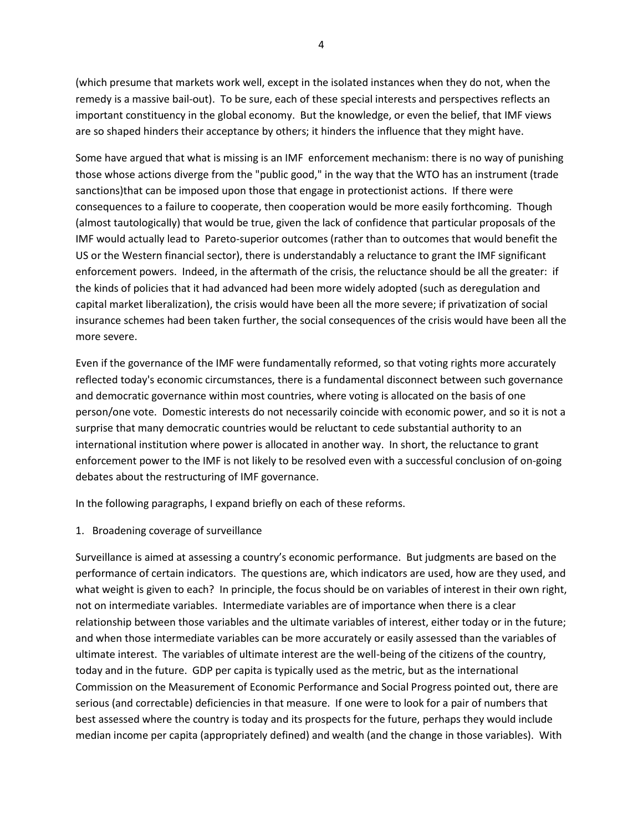(which presume that markets work well, except in the isolated instances when they do not, when the remedy is a massive bail-out). To be sure, each of these special interests and perspectives reflects an important constituency in the global economy. But the knowledge, or even the belief, that IMF views are so shaped hinders their acceptance by others; it hinders the influence that they might have.

Some have argued that what is missing is an IMF enforcement mechanism: there is no way of punishing those whose actions diverge from the "public good," in the way that the WTO has an instrument (trade sanctions)that can be imposed upon those that engage in protectionist actions. If there were consequences to a failure to cooperate, then cooperation would be more easily forthcoming. Though (almost tautologically) that would be true, given the lack of confidence that particular proposals of the IMF would actually lead to Pareto-superior outcomes (rather than to outcomes that would benefit the US or the Western financial sector), there is understandably a reluctance to grant the IMF significant enforcement powers. Indeed, in the aftermath of the crisis, the reluctance should be all the greater: if the kinds of policies that it had advanced had been more widely adopted (such as deregulation and capital market liberalization), the crisis would have been all the more severe; if privatization of social insurance schemes had been taken further, the social consequences of the crisis would have been all the more severe.

Even if the governance of the IMF were fundamentally reformed, so that voting rights more accurately reflected today's economic circumstances, there is a fundamental disconnect between such governance and democratic governance within most countries, where voting is allocated on the basis of one person/one vote. Domestic interests do not necessarily coincide with economic power, and so it is not a surprise that many democratic countries would be reluctant to cede substantial authority to an international institution where power is allocated in another way. In short, the reluctance to grant enforcement power to the IMF is not likely to be resolved even with a successful conclusion of on-going debates about the restructuring of IMF governance.

In the following paragraphs, I expand briefly on each of these reforms.

1. Broadening coverage of surveillance

Surveillance is aimed at assessing a country's economic performance. But judgments are based on the performance of certain indicators. The questions are, which indicators are used, how are they used, and what weight is given to each? In principle, the focus should be on variables of interest in their own right, not on intermediate variables. Intermediate variables are of importance when there is a clear relationship between those variables and the ultimate variables of interest, either today or in the future; and when those intermediate variables can be more accurately or easily assessed than the variables of ultimate interest. The variables of ultimate interest are the well-being of the citizens of the country, today and in the future. GDP per capita is typically used as the metric, but as the international Commission on the Measurement of Economic Performance and Social Progress pointed out, there are serious (and correctable) deficiencies in that measure. If one were to look for a pair of numbers that best assessed where the country is today and its prospects for the future, perhaps they would include median income per capita (appropriately defined) and wealth (and the change in those variables). With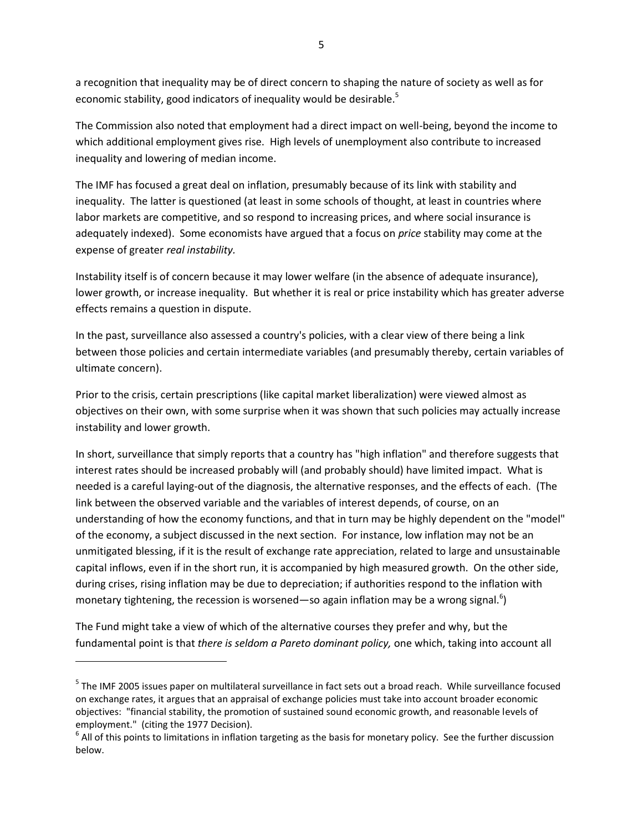a recognition that inequality may be of direct concern to shaping the nature of society as well as for economic stability, good indicators of inequality would be desirable.<sup>5</sup>

The Commission also noted that employment had a direct impact on well-being, beyond the income to which additional employment gives rise. High levels of unemployment also contribute to increased inequality and lowering of median income.

The IMF has focused a great deal on inflation, presumably because of its link with stability and inequality. The latter is questioned (at least in some schools of thought, at least in countries where labor markets are competitive, and so respond to increasing prices, and where social insurance is adequately indexed). Some economists have argued that a focus on *price* stability may come at the expense of greater *real instability.* 

Instability itself is of concern because it may lower welfare (in the absence of adequate insurance), lower growth, or increase inequality. But whether it is real or price instability which has greater adverse effects remains a question in dispute.

In the past, surveillance also assessed a country's policies, with a clear view of there being a link between those policies and certain intermediate variables (and presumably thereby, certain variables of ultimate concern).

Prior to the crisis, certain prescriptions (like capital market liberalization) were viewed almost as objectives on their own, with some surprise when it was shown that such policies may actually increase instability and lower growth.

In short, surveillance that simply reports that a country has "high inflation" and therefore suggests that interest rates should be increased probably will (and probably should) have limited impact. What is needed is a careful laying-out of the diagnosis, the alternative responses, and the effects of each. (The link between the observed variable and the variables of interest depends, of course, on an understanding of how the economy functions, and that in turn may be highly dependent on the "model" of the economy, a subject discussed in the next section. For instance, low inflation may not be an unmitigated blessing, if it is the result of exchange rate appreciation, related to large and unsustainable capital inflows, even if in the short run, it is accompanied by high measured growth. On the other side, during crises, rising inflation may be due to depreciation; if authorities respond to the inflation with monetary tightening, the recession is worsened—so again inflation may be a wrong signal.<sup>6</sup>)

The Fund might take a view of which of the alternative courses they prefer and why, but the fundamental point is that *there is seldom a Pareto dominant policy,* one which, taking into account all

<sup>&</sup>lt;sup>5</sup> The IMF 2005 issues paper on multilateral surveillance in fact sets out a broad reach. While surveillance focused on exchange rates, it argues that an appraisal of exchange policies must take into account broader economic objectives: "financial stability, the promotion of sustained sound economic growth, and reasonable levels of employment." (citing the 1977 Decision).

 $^6$  All of this points to limitations in inflation targeting as the basis for monetary policy. See the further discussion below.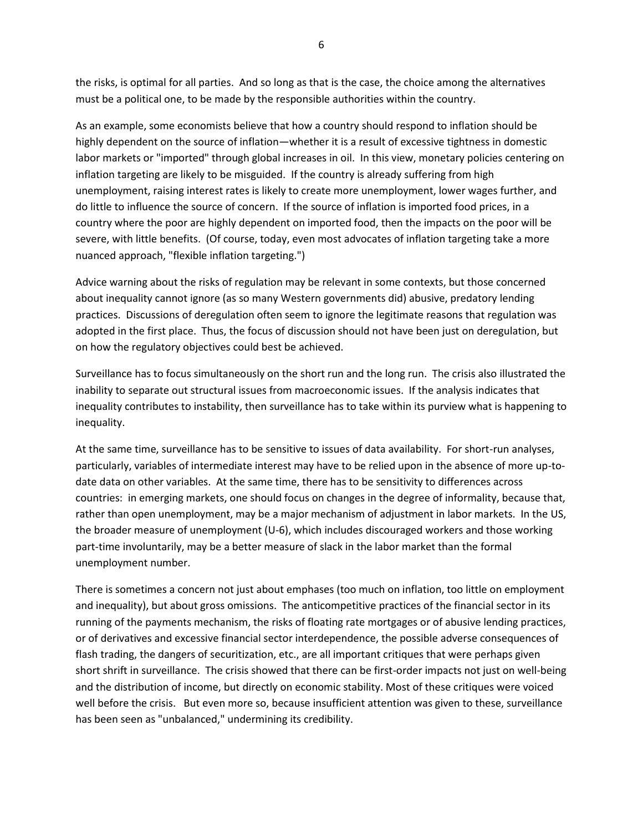the risks, is optimal for all parties. And so long as that is the case, the choice among the alternatives must be a political one, to be made by the responsible authorities within the country.

As an example, some economists believe that how a country should respond to inflation should be highly dependent on the source of inflation—whether it is a result of excessive tightness in domestic labor markets or "imported" through global increases in oil. In this view, monetary policies centering on inflation targeting are likely to be misguided. If the country is already suffering from high unemployment, raising interest rates is likely to create more unemployment, lower wages further, and do little to influence the source of concern. If the source of inflation is imported food prices, in a country where the poor are highly dependent on imported food, then the impacts on the poor will be severe, with little benefits. (Of course, today, even most advocates of inflation targeting take a more nuanced approach, "flexible inflation targeting.")

Advice warning about the risks of regulation may be relevant in some contexts, but those concerned about inequality cannot ignore (as so many Western governments did) abusive, predatory lending practices. Discussions of deregulation often seem to ignore the legitimate reasons that regulation was adopted in the first place. Thus, the focus of discussion should not have been just on deregulation, but on how the regulatory objectives could best be achieved.

Surveillance has to focus simultaneously on the short run and the long run. The crisis also illustrated the inability to separate out structural issues from macroeconomic issues. If the analysis indicates that inequality contributes to instability, then surveillance has to take within its purview what is happening to inequality.

At the same time, surveillance has to be sensitive to issues of data availability. For short-run analyses, particularly, variables of intermediate interest may have to be relied upon in the absence of more up-todate data on other variables. At the same time, there has to be sensitivity to differences across countries: in emerging markets, one should focus on changes in the degree of informality, because that, rather than open unemployment, may be a major mechanism of adjustment in labor markets. In the US, the broader measure of unemployment (U-6), which includes discouraged workers and those working part-time involuntarily, may be a better measure of slack in the labor market than the formal unemployment number.

There is sometimes a concern not just about emphases (too much on inflation, too little on employment and inequality), but about gross omissions. The anticompetitive practices of the financial sector in its running of the payments mechanism, the risks of floating rate mortgages or of abusive lending practices, or of derivatives and excessive financial sector interdependence, the possible adverse consequences of flash trading, the dangers of securitization, etc., are all important critiques that were perhaps given short shrift in surveillance. The crisis showed that there can be first-order impacts not just on well-being and the distribution of income, but directly on economic stability. Most of these critiques were voiced well before the crisis. But even more so, because insufficient attention was given to these, surveillance has been seen as "unbalanced," undermining its credibility.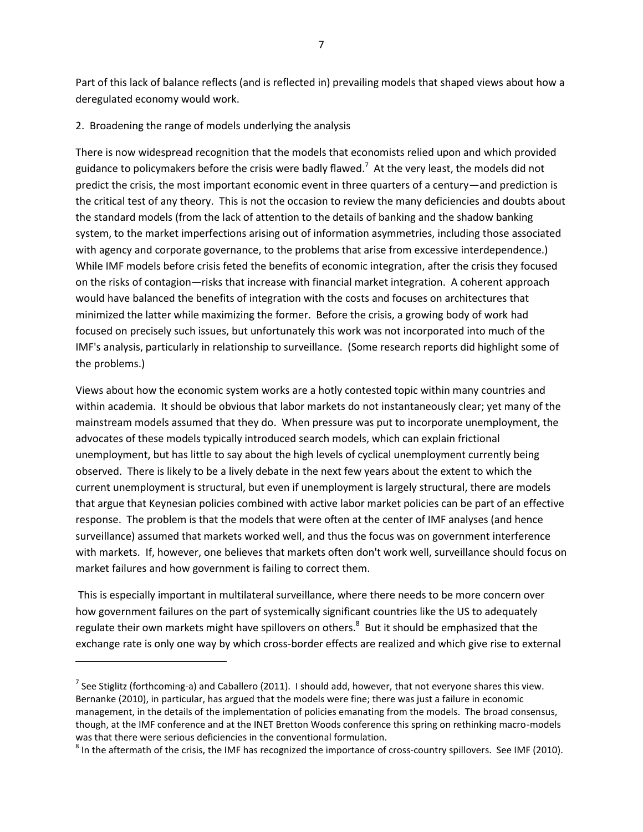Part of this lack of balance reflects (and is reflected in) prevailing models that shaped views about how a deregulated economy would work.

#### 2. Broadening the range of models underlying the analysis

l

There is now widespread recognition that the models that economists relied upon and which provided guidance to policymakers before the crisis were badly flawed.<sup>7</sup> At the very least, the models did not predict the crisis, the most important economic event in three quarters of a century—and prediction is the critical test of any theory. This is not the occasion to review the many deficiencies and doubts about the standard models (from the lack of attention to the details of banking and the shadow banking system, to the market imperfections arising out of information asymmetries, including those associated with agency and corporate governance, to the problems that arise from excessive interdependence.) While IMF models before crisis feted the benefits of economic integration, after the crisis they focused on the risks of contagion—risks that increase with financial market integration. A coherent approach would have balanced the benefits of integration with the costs and focuses on architectures that minimized the latter while maximizing the former. Before the crisis, a growing body of work had focused on precisely such issues, but unfortunately this work was not incorporated into much of the IMF's analysis, particularly in relationship to surveillance. (Some research reports did highlight some of the problems.)

Views about how the economic system works are a hotly contested topic within many countries and within academia. It should be obvious that labor markets do not instantaneously clear; yet many of the mainstream models assumed that they do. When pressure was put to incorporate unemployment, the advocates of these models typically introduced search models, which can explain frictional unemployment, but has little to say about the high levels of cyclical unemployment currently being observed. There is likely to be a lively debate in the next few years about the extent to which the current unemployment is structural, but even if unemployment is largely structural, there are models that argue that Keynesian policies combined with active labor market policies can be part of an effective response. The problem is that the models that were often at the center of IMF analyses (and hence surveillance) assumed that markets worked well, and thus the focus was on government interference with markets. If, however, one believes that markets often don't work well, surveillance should focus on market failures and how government is failing to correct them.

This is especially important in multilateral surveillance, where there needs to be more concern over how government failures on the part of systemically significant countries like the US to adequately regulate their own markets might have spillovers on others.<sup>8</sup> But it should be emphasized that the exchange rate is only one way by which cross-border effects are realized and which give rise to external

<sup>&</sup>lt;sup>7</sup> See Stiglitz (forthcoming-a) and Caballero (2011). I should add, however, that not everyone shares this view. Bernanke (2010), in particular, has argued that the models were fine; there was just a failure in economic management, in the details of the implementation of policies emanating from the models. The broad consensus, though, at the IMF conference and at the INET Bretton Woods conference this spring on rethinking macro-models was that there were serious deficiencies in the conventional formulation.

 $^8$  In the aftermath of the crisis, the IMF has recognized the importance of cross-country spillovers. See IMF (2010).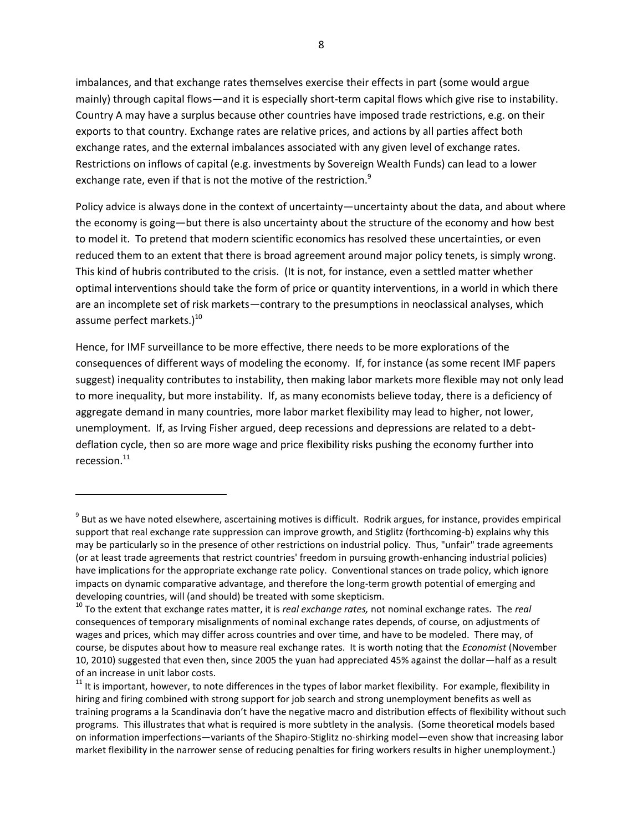imbalances, and that exchange rates themselves exercise their effects in part (some would argue mainly) through capital flows—and it is especially short-term capital flows which give rise to instability. Country A may have a surplus because other countries have imposed trade restrictions, e.g. on their exports to that country. Exchange rates are relative prices, and actions by all parties affect both exchange rates, and the external imbalances associated with any given level of exchange rates. Restrictions on inflows of capital (e.g. investments by Sovereign Wealth Funds) can lead to a lower exchange rate, even if that is not the motive of the restriction.<sup>9</sup>

Policy advice is always done in the context of uncertainty—uncertainty about the data, and about where the economy is going—but there is also uncertainty about the structure of the economy and how best to model it. To pretend that modern scientific economics has resolved these uncertainties, or even reduced them to an extent that there is broad agreement around major policy tenets, is simply wrong. This kind of hubris contributed to the crisis. (It is not, for instance, even a settled matter whether optimal interventions should take the form of price or quantity interventions, in a world in which there are an incomplete set of risk markets—contrary to the presumptions in neoclassical analyses, which assume perfect markets. $)^{10}$ 

Hence, for IMF surveillance to be more effective, there needs to be more explorations of the consequences of different ways of modeling the economy. If, for instance (as some recent IMF papers suggest) inequality contributes to instability, then making labor markets more flexible may not only lead to more inequality, but more instability. If, as many economists believe today, there is a deficiency of aggregate demand in many countries, more labor market flexibility may lead to higher, not lower, unemployment. If, as Irving Fisher argued, deep recessions and depressions are related to a debtdeflation cycle, then so are more wage and price flexibility risks pushing the economy further into recession. $^{11}$ 

 $\overline{\phantom{a}}$ 

 $^9$  But as we have noted elsewhere, ascertaining motives is difficult. Rodrik argues, for instance, provides empirical support that real exchange rate suppression can improve growth, and Stiglitz (forthcoming-b) explains why this may be particularly so in the presence of other restrictions on industrial policy. Thus, "unfair" trade agreements (or at least trade agreements that restrict countries' freedom in pursuing growth-enhancing industrial policies) have implications for the appropriate exchange rate policy. Conventional stances on trade policy, which ignore impacts on dynamic comparative advantage, and therefore the long-term growth potential of emerging and developing countries, will (and should) be treated with some skepticism.

<sup>10</sup> To the extent that exchange rates matter, it is *real exchange rates,* not nominal exchange rates. The *real*  consequences of temporary misalignments of nominal exchange rates depends, of course, on adjustments of wages and prices, which may differ across countries and over time, and have to be modeled. There may, of course, be disputes about how to measure real exchange rates. It is worth noting that the *Economist* (November 10, 2010) suggested that even then, since 2005 the yuan had appreciated 45% against the dollar—half as a result of an increase in unit labor costs.

<sup>&</sup>lt;sup>11</sup> It is important, however, to note differences in the types of labor market flexibility. For example, flexibility in hiring and firing combined with strong support for job search and strong unemployment benefits as well as training programs a la Scandinavia don't have the negative macro and distribution effects of flexibility without such programs. This illustrates that what is required is more subtlety in the analysis. (Some theoretical models based on information imperfections—variants of the Shapiro-Stiglitz no-shirking model—even show that increasing labor market flexibility in the narrower sense of reducing penalties for firing workers results in higher unemployment.)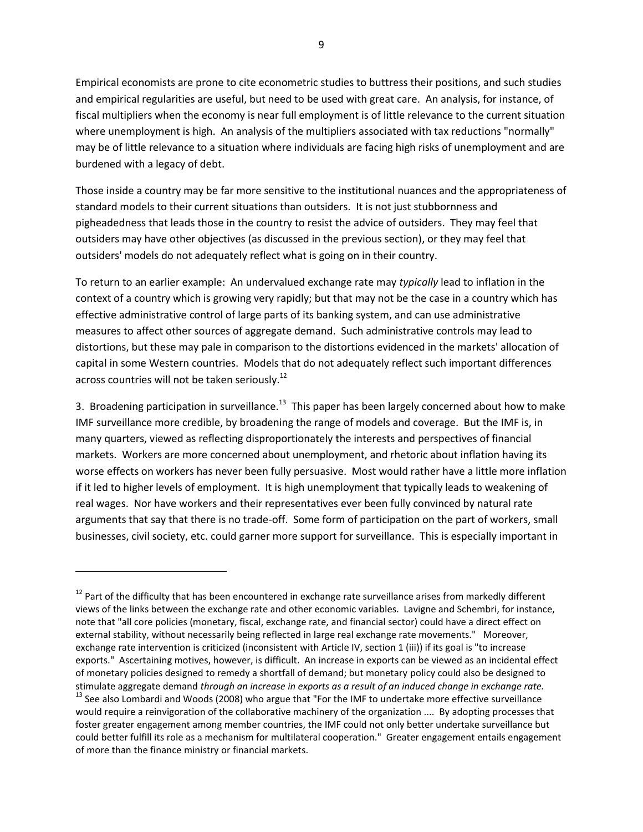9

Empirical economists are prone to cite econometric studies to buttress their positions, and such studies and empirical regularities are useful, but need to be used with great care. An analysis, for instance, of fiscal multipliers when the economy is near full employment is of little relevance to the current situation where unemployment is high. An analysis of the multipliers associated with tax reductions "normally" may be of little relevance to a situation where individuals are facing high risks of unemployment and are burdened with a legacy of debt.

Those inside a country may be far more sensitive to the institutional nuances and the appropriateness of standard models to their current situations than outsiders. It is not just stubbornness and pigheadedness that leads those in the country to resist the advice of outsiders. They may feel that outsiders may have other objectives (as discussed in the previous section), or they may feel that outsiders' models do not adequately reflect what is going on in their country.

To return to an earlier example: An undervalued exchange rate may *typically* lead to inflation in the context of a country which is growing very rapidly; but that may not be the case in a country which has effective administrative control of large parts of its banking system, and can use administrative measures to affect other sources of aggregate demand. Such administrative controls may lead to distortions, but these may pale in comparison to the distortions evidenced in the markets' allocation of capital in some Western countries. Models that do not adequately reflect such important differences across countries will not be taken seriously.<sup>12</sup>

3. Broadening participation in surveillance.<sup>13</sup> This paper has been largely concerned about how to make IMF surveillance more credible, by broadening the range of models and coverage. But the IMF is, in many quarters, viewed as reflecting disproportionately the interests and perspectives of financial markets. Workers are more concerned about unemployment, and rhetoric about inflation having its worse effects on workers has never been fully persuasive. Most would rather have a little more inflation if it led to higher levels of employment. It is high unemployment that typically leads to weakening of real wages. Nor have workers and their representatives ever been fully convinced by natural rate arguments that say that there is no trade-off. Some form of participation on the part of workers, small businesses, civil society, etc. could garner more support for surveillance. This is especially important in

 $\overline{\phantom{a}}$ 

 $12$  Part of the difficulty that has been encountered in exchange rate surveillance arises from markedly different views of the links between the exchange rate and other economic variables. Lavigne and Schembri, for instance, note that "all core policies (monetary, fiscal, exchange rate, and financial sector) could have a direct effect on external stability, without necessarily being reflected in large real exchange rate movements." Moreover, exchange rate intervention is criticized (inconsistent with Article IV, section 1 (iii)) if its goal is "to increase exports." Ascertaining motives, however, is difficult. An increase in exports can be viewed as an incidental effect of monetary policies designed to remedy a shortfall of demand; but monetary policy could also be designed to stimulate aggregate demand *through an increase in exports as a result of an induced change in exchange rate.*  <sup>13</sup> See also Lombardi and Woods (2008) who argue that "For the IMF to undertake more effective surveillance would require a reinvigoration of the collaborative machinery of the organization .... By adopting processes that foster greater engagement among member countries, the IMF could not only better undertake surveillance but could better fulfill its role as a mechanism for multilateral cooperation." Greater engagement entails engagement of more than the finance ministry or financial markets.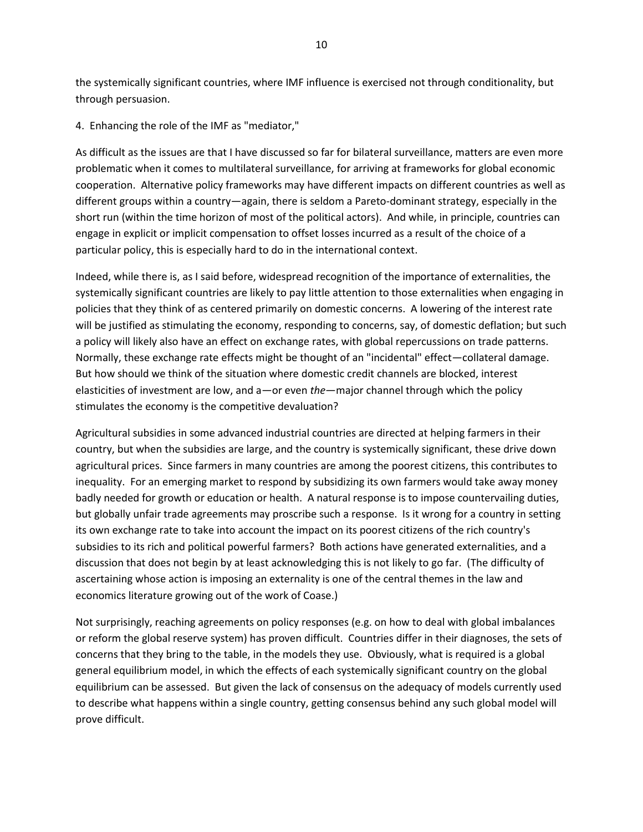the systemically significant countries, where IMF influence is exercised not through conditionality, but through persuasion.

4. Enhancing the role of the IMF as "mediator,"

As difficult as the issues are that I have discussed so far for bilateral surveillance, matters are even more problematic when it comes to multilateral surveillance, for arriving at frameworks for global economic cooperation. Alternative policy frameworks may have different impacts on different countries as well as different groups within a country—again, there is seldom a Pareto-dominant strategy, especially in the short run (within the time horizon of most of the political actors). And while, in principle, countries can engage in explicit or implicit compensation to offset losses incurred as a result of the choice of a particular policy, this is especially hard to do in the international context.

Indeed, while there is, as I said before, widespread recognition of the importance of externalities, the systemically significant countries are likely to pay little attention to those externalities when engaging in policies that they think of as centered primarily on domestic concerns. A lowering of the interest rate will be justified as stimulating the economy, responding to concerns, say, of domestic deflation; but such a policy will likely also have an effect on exchange rates, with global repercussions on trade patterns. Normally, these exchange rate effects might be thought of an "incidental" effect—collateral damage. But how should we think of the situation where domestic credit channels are blocked, interest elasticities of investment are low, and a—or even *the*—major channel through which the policy stimulates the economy is the competitive devaluation?

Agricultural subsidies in some advanced industrial countries are directed at helping farmers in their country, but when the subsidies are large, and the country is systemically significant, these drive down agricultural prices. Since farmers in many countries are among the poorest citizens, this contributes to inequality. For an emerging market to respond by subsidizing its own farmers would take away money badly needed for growth or education or health. A natural response is to impose countervailing duties, but globally unfair trade agreements may proscribe such a response. Is it wrong for a country in setting its own exchange rate to take into account the impact on its poorest citizens of the rich country's subsidies to its rich and political powerful farmers? Both actions have generated externalities, and a discussion that does not begin by at least acknowledging this is not likely to go far. (The difficulty of ascertaining whose action is imposing an externality is one of the central themes in the law and economics literature growing out of the work of Coase.)

Not surprisingly, reaching agreements on policy responses (e.g. on how to deal with global imbalances or reform the global reserve system) has proven difficult. Countries differ in their diagnoses, the sets of concerns that they bring to the table, in the models they use. Obviously, what is required is a global general equilibrium model, in which the effects of each systemically significant country on the global equilibrium can be assessed. But given the lack of consensus on the adequacy of models currently used to describe what happens within a single country, getting consensus behind any such global model will prove difficult.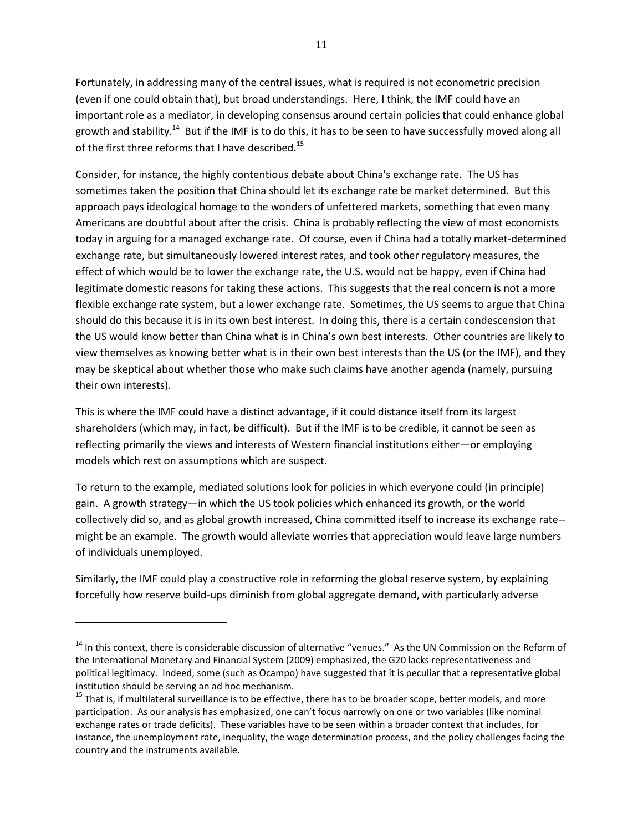Fortunately, in addressing many of the central issues, what is required is not econometric precision (even if one could obtain that), but broad understandings. Here, I think, the IMF could have an important role as a mediator, in developing consensus around certain policies that could enhance global growth and stability.<sup>14</sup> But if the IMF is to do this, it has to be seen to have successfully moved along all of the first three reforms that I have described.<sup>15</sup>

Consider, for instance, the highly contentious debate about China's exchange rate. The US has sometimes taken the position that China should let its exchange rate be market determined. But this approach pays ideological homage to the wonders of unfettered markets, something that even many Americans are doubtful about after the crisis. China is probably reflecting the view of most economists today in arguing for a managed exchange rate. Of course, even if China had a totally market-determined exchange rate, but simultaneously lowered interest rates, and took other regulatory measures, the effect of which would be to lower the exchange rate, the U.S. would not be happy, even if China had legitimate domestic reasons for taking these actions. This suggests that the real concern is not a more flexible exchange rate system, but a lower exchange rate. Sometimes, the US seems to argue that China should do this because it is in its own best interest. In doing this, there is a certain condescension that the US would know better than China what is in China's own best interests. Other countries are likely to view themselves as knowing better what is in their own best interests than the US (or the IMF), and they may be skeptical about whether those who make such claims have another agenda (namely, pursuing their own interests).

This is where the IMF could have a distinct advantage, if it could distance itself from its largest shareholders (which may, in fact, be difficult). But if the IMF is to be credible, it cannot be seen as reflecting primarily the views and interests of Western financial institutions either—or employing models which rest on assumptions which are suspect.

To return to the example, mediated solutions look for policies in which everyone could (in principle) gain. A growth strategy—in which the US took policies which enhanced its growth, or the world collectively did so, and as global growth increased, China committed itself to increase its exchange rate- might be an example. The growth would alleviate worries that appreciation would leave large numbers of individuals unemployed.

Similarly, the IMF could play a constructive role in reforming the global reserve system, by explaining forcefully how reserve build-ups diminish from global aggregate demand, with particularly adverse

<sup>&</sup>lt;sup>14</sup> In this context, there is considerable discussion of alternative "venues." As the UN Commission on the Reform of the International Monetary and Financial System (2009) emphasized, the G20 lacks representativeness and political legitimacy. Indeed, some (such as Ocampo) have suggested that it is peculiar that a representative global institution should be serving an ad hoc mechanism.

<sup>&</sup>lt;sup>15</sup> That is, if multilateral surveillance is to be effective, there has to be broader scope, better models, and more participation. As our analysis has emphasized, one can't focus narrowly on one or two variables (like nominal exchange rates or trade deficits). These variables have to be seen within a broader context that includes, for instance, the unemployment rate, inequality, the wage determination process, and the policy challenges facing the country and the instruments available.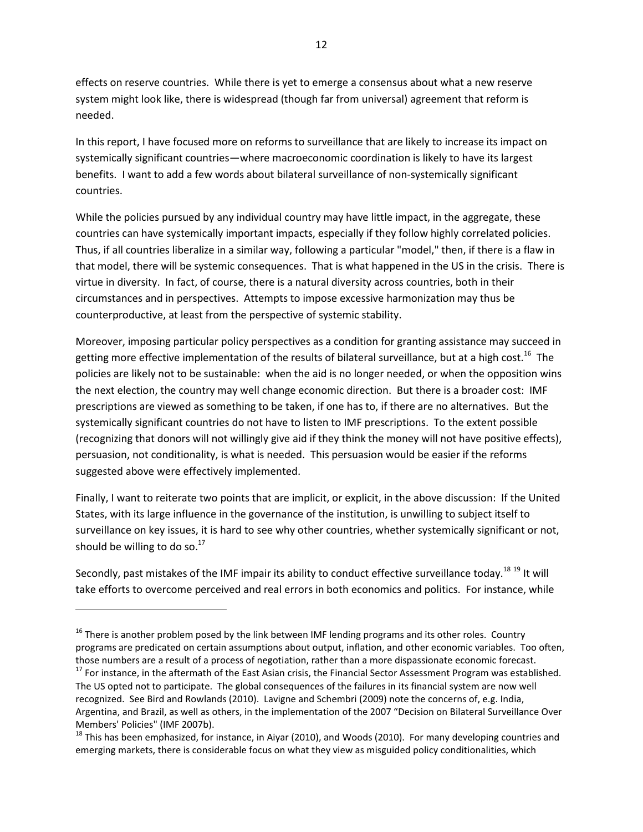effects on reserve countries. While there is yet to emerge a consensus about what a new reserve system might look like, there is widespread (though far from universal) agreement that reform is needed.

In this report, I have focused more on reforms to surveillance that are likely to increase its impact on systemically significant countries—where macroeconomic coordination is likely to have its largest benefits. I want to add a few words about bilateral surveillance of non-systemically significant countries.

While the policies pursued by any individual country may have little impact, in the aggregate, these countries can have systemically important impacts, especially if they follow highly correlated policies. Thus, if all countries liberalize in a similar way, following a particular "model," then, if there is a flaw in that model, there will be systemic consequences. That is what happened in the US in the crisis. There is virtue in diversity. In fact, of course, there is a natural diversity across countries, both in their circumstances and in perspectives. Attempts to impose excessive harmonization may thus be counterproductive, at least from the perspective of systemic stability.

Moreover, imposing particular policy perspectives as a condition for granting assistance may succeed in getting more effective implementation of the results of bilateral surveillance, but at a high cost.<sup>16</sup> The policies are likely not to be sustainable: when the aid is no longer needed, or when the opposition wins the next election, the country may well change economic direction. But there is a broader cost: IMF prescriptions are viewed as something to be taken, if one has to, if there are no alternatives. But the systemically significant countries do not have to listen to IMF prescriptions. To the extent possible (recognizing that donors will not willingly give aid if they think the money will not have positive effects), persuasion, not conditionality, is what is needed. This persuasion would be easier if the reforms suggested above were effectively implemented.

Finally, I want to reiterate two points that are implicit, or explicit, in the above discussion: If the United States, with its large influence in the governance of the institution, is unwilling to subject itself to surveillance on key issues, it is hard to see why other countries, whether systemically significant or not, should be willing to do so. $^{17}$ 

Secondly, past mistakes of the IMF impair its ability to conduct effective surveillance today.<sup>18 19</sup> It will take efforts to overcome perceived and real errors in both economics and politics. For instance, while

 $\overline{a}$ 

 $16$  There is another problem posed by the link between IMF lending programs and its other roles. Country programs are predicated on certain assumptions about output, inflation, and other economic variables. Too often, those numbers are a result of a process of negotiation, rather than a more dispassionate economic forecast.

<sup>&</sup>lt;sup>17</sup> For instance, in the aftermath of the East Asian crisis, the Financial Sector Assessment Program was established. The US opted not to participate. The global consequences of the failures in its financial system are now well recognized. See Bird and Rowlands (2010). Lavigne and Schembri (2009) note the concerns of, e.g. India, Argentina, and Brazil, as well as others, in the implementation of the 2007 "Decision on Bilateral Surveillance Over Members' Policies" (IMF 2007b).

<sup>&</sup>lt;sup>18</sup> This has been emphasized, for instance, in Aiyar (2010), and Woods (2010). For many developing countries and emerging markets, there is considerable focus on what they view as misguided policy conditionalities, which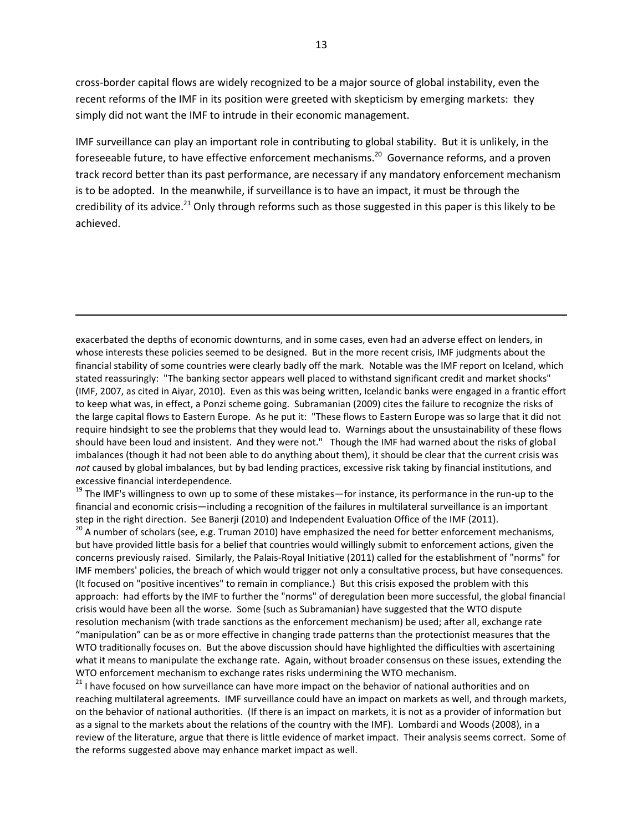cross-border capital flows are widely recognized to be a major source of global instability, even the recent reforms of the IMF in its position were greeted with skepticism by emerging markets: they simply did not want the IMF to intrude in their economic management.

IMF surveillance can play an important role in contributing to global stability. But it is unlikely, in the foreseeable future, to have effective enforcement mechanisms.<sup>20</sup> Governance reforms, and a proven track record better than its past performance, are necessary if any mandatory enforcement mechanism is to be adopted. In the meanwhile, if surveillance is to have an impact, it must be through the credibility of its advice.<sup>21</sup> Only through reforms such as those suggested in this paper is this likely to be achieved.

exacerbated the depths of economic downturns, and in some cases, even had an adverse effect on lenders, in whose interests these policies seemed to be designed. But in the more recent crisis, IMF judgments about the financial stability of some countries were clearly badly off the mark. Notable was the IMF report on Iceland, which stated reassuringly: "The banking sector appears well placed to withstand significant credit and market shocks" (IMF, 2007, as cited in Aiyar, 2010). Even as this was being written, Icelandic banks were engaged in a frantic effort to keep what was, in effect, a Ponzi scheme going. Subramanian (2009) cites the failure to recognize the risks of the large capital flows to Eastern Europe. As he put it: "These flows to Eastern Europe was so large that it did not require hindsight to see the problems that they would lead to. Warnings about the unsustainability of these flows should have been loud and insistent. And they were not." Though the IMF had warned about the risks of global imbalances (though it had not been able to do anything about them), it should be clear that the current crisis was *not* caused by global imbalances, but by bad lending practices, excessive risk taking by financial institutions, and excessive financial interdependence.

 $\overline{a}$ 

<sup>19</sup> The IMF's willingness to own up to some of these mistakes—for instance, its performance in the run-up to the financial and economic crisis—including a recognition of the failures in multilateral surveillance is an important step in the right direction. See Banerji (2010) and Independent Evaluation Office of the IMF (2011).

 $^{20}$  A number of scholars (see, e.g. Truman 2010) have emphasized the need for better enforcement mechanisms, but have provided little basis for a belief that countries would willingly submit to enforcement actions, given the concerns previously raised. Similarly, the Palais-Royal Initiative (2011) called for the establishment of "norms" for IMF members' policies, the breach of which would trigger not only a consultative process, but have consequences. (It focused on "positive incentives" to remain in compliance.) But this crisis exposed the problem with this approach: had efforts by the IMF to further the "norms" of deregulation been more successful, the global financial crisis would have been all the worse. Some (such as Subramanian) have suggested that the WTO dispute resolution mechanism (with trade sanctions as the enforcement mechanism) be used; after all, exchange rate "manipulation" can be as or more effective in changing trade patterns than the protectionist measures that the WTO traditionally focuses on. But the above discussion should have highlighted the difficulties with ascertaining what it means to manipulate the exchange rate. Again, without broader consensus on these issues, extending the WTO enforcement mechanism to exchange rates risks undermining the WTO mechanism.

<sup>21</sup> I have focused on how surveillance can have more impact on the behavior of national authorities and on reaching multilateral agreements. IMF surveillance could have an impact on markets as well, and through markets, on the behavior of national authorities. (If there is an impact on markets, it is not as a provider of information but as a signal to the markets about the relations of the country with the IMF). Lombardi and Woods (2008), in a review of the literature, argue that there is little evidence of market impact. Their analysis seems correct. Some of the reforms suggested above may enhance market impact as well.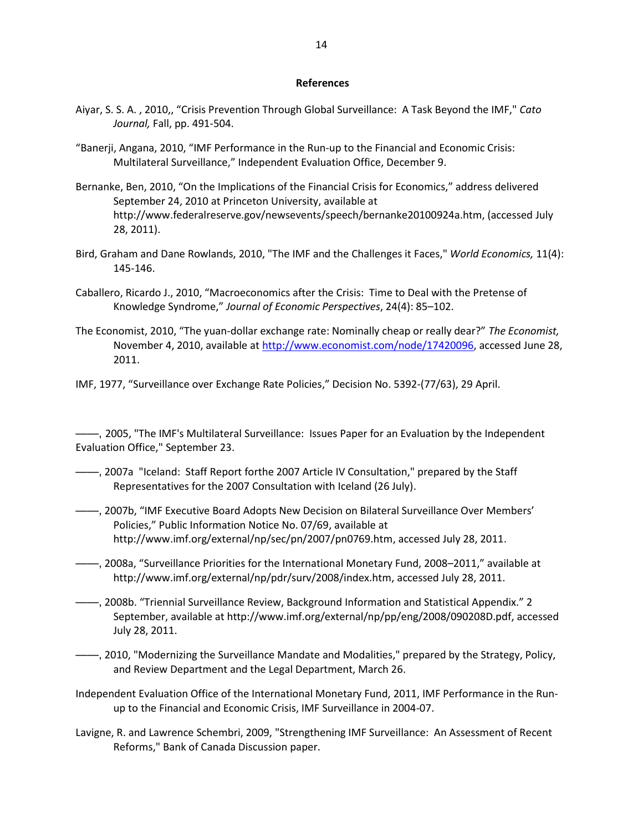#### **References**

- Aiyar, S. S. A. , 2010,, "Crisis Prevention Through Global Surveillance: A Task Beyond the IMF," *Cato Journal,* Fall, pp. 491-504.
- "Banerji, Angana, 2010, "IMF Performance in the Run-up to the Financial and Economic Crisis: Multilateral Surveillance," Independent Evaluation Office, December 9.
- Bernanke, Ben, 2010, "On the Implications of the Financial Crisis for Economics," address delivered September 24, 2010 at Princeton University, available at http://www.federalreserve.gov/newsevents/speech/bernanke20100924a.htm, (accessed July 28, 2011).
- Bird, Graham and Dane Rowlands, 2010, "The IMF and the Challenges it Faces," *World Economics,* 11(4): 145-146.
- Caballero, Ricardo J., 2010, "Macroeconomics after the Crisis: Time to Deal with the Pretense of Knowledge Syndrome," *Journal of Economic Perspectives*, 24(4): 85–102.
- The Economist, 2010, "The yuan-dollar exchange rate: Nominally cheap or really dear?" *The Economist,*  November 4, 2010, available a[t http://www.economist.com/node/17420096,](http://www.economist.com/node/17420096) accessed June 28, 2011.
- IMF, 1977, "Surveillance over Exchange Rate Policies," Decision No. 5392-(77/63), 29 April.

——, 2005, "The IMF's Multilateral Surveillance: Issues Paper for an Evaluation by the Independent Evaluation Office," September 23.

- ——, 2007a "Iceland: Staff Report forthe 2007 Article IV Consultation," prepared by the Staff Representatives for the 2007 Consultation with Iceland (26 July).
- ——, 2007b, "IMF Executive Board Adopts New Decision on Bilateral Surveillance Over Members' Policies," Public Information Notice No. 07/69, available at http://www.imf.org/external/np/sec/pn/2007/pn0769.htm, accessed July 28, 2011.
- ——, 2008a, "Surveillance Priorities for the International Monetary Fund, 2008–2011," available at http://www.imf.org/external/np/pdr/surv/2008/index.htm, accessed July 28, 2011.
- ——, 2008b. "Triennial Surveillance Review, Background Information and Statistical Appendix." 2 September, available at http://www.imf.org/external/np/pp/eng/2008/090208D.pdf, accessed July 28, 2011.
- ——, 2010, "Modernizing the Surveillance Mandate and Modalities," prepared by the Strategy, Policy, and Review Department and the Legal Department, March 26.
- Independent Evaluation Office of the International Monetary Fund, 2011, IMF Performance in the Runup to the Financial and Economic Crisis, IMF Surveillance in 2004-07.
- Lavigne, R. and Lawrence Schembri, 2009, "Strengthening IMF Surveillance: An Assessment of Recent Reforms," Bank of Canada Discussion paper.